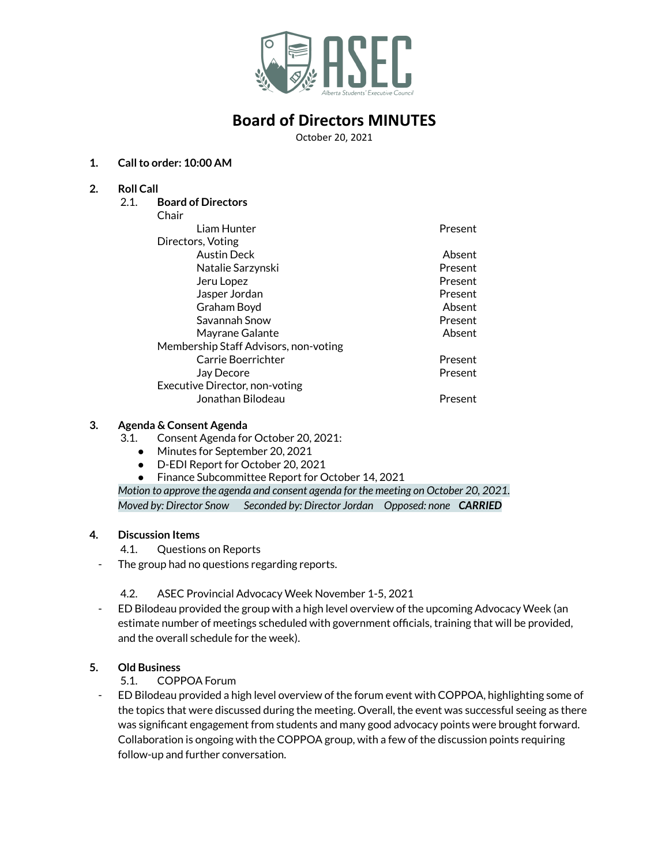

# **Board of Directors MINUTES**

October 20, 2021

### **1. Callto order: 10:00 AM**

#### **2. Roll Call**

2.1. **Board of Directors**

| nair |
|------|
|------|

| Chair                                 |         |
|---------------------------------------|---------|
| Liam Hunter                           | Present |
| Directors, Voting                     |         |
| <b>Austin Deck</b>                    | Absent  |
| Natalie Sarzynski                     | Present |
| Jeru Lopez                            | Present |
| Jasper Jordan                         | Present |
| Graham Boyd                           | Absent  |
| Savannah Snow                         | Present |
| Mayrane Galante                       | Absent  |
| Membership Staff Advisors, non-voting |         |
| Carrie Boerrichter                    | Present |
| Jay Decore                            | Present |
| Executive Director, non-voting        |         |
| Jonathan Bilodeau                     | Present |

#### **3. Agenda & Consent Agenda**

- 3.1. Consent Agenda for October 20, 2021:
	- Minutes for September 20, 2021
	- D-EDI Report for October 20, 2021
	- Finance Subcommittee Report for October 14, 2021

*Motion to approve the agenda and consent agenda for the meeting on October 20, 2021. Moved by: Director Snow Seconded by: Director Jordan Opposed: none CARRIED*

### **4. Discussion Items**

- 4.1. Questions on Reports
- The group had no questions regarding reports.
	- 4.2. ASEC Provincial Advocacy Week November 1-5, 2021
- ED Bilodeau provided the group with a high level overview of the upcoming Advocacy Week (an estimate number of meetings scheduled with government officials, training that will be provided, and the overall schedule for the week).

## **5. Old Business**

5.1. COPPOA Forum

- ED Bilodeau provided a high level overview of the forum event with COPPOA, highlighting some of the topics that were discussed during the meeting. Overall, the event was successful seeing as there was significant engagement from students and many good advocacy points were brought forward. Collaboration is ongoing with the COPPOA group, with a few of the discussion points requiring follow-up and further conversation.